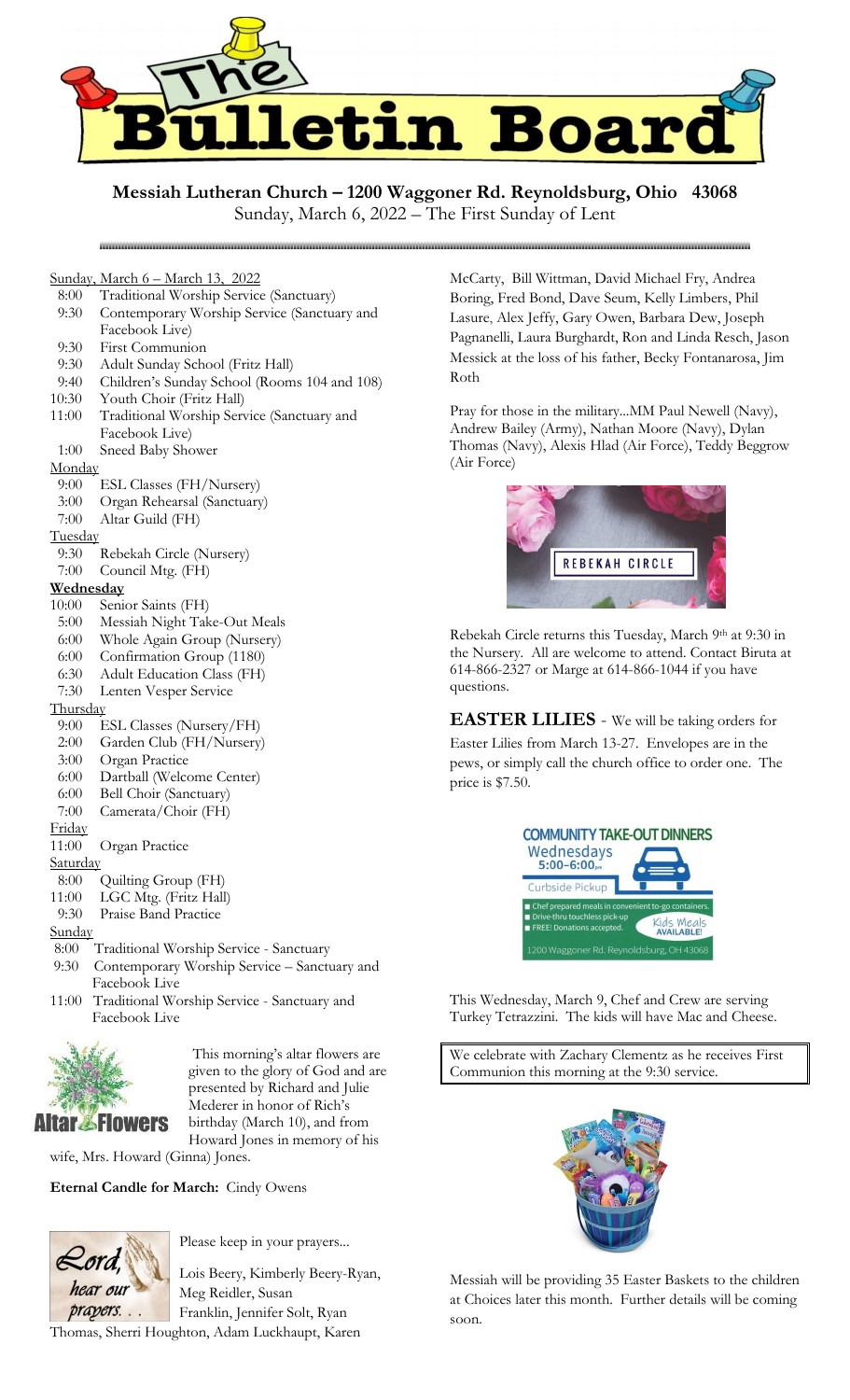

**Messiah Lutheran Church – 1200 Waggoner Rd. Reynoldsburg, Ohio 43068**

# Sunday, March 6 – March 13, 2022

- 8:00 Traditional Worship Service (Sanctuary)
- 9:30 Contemporary Worship Service (Sanctuary and Facebook Live)
- 9:30 First Communion
- 9:30 Adult Sunday School (Fritz Hall)
- 9:40 Children's Sunday School (Rooms 104 and 108)
- 10:30 Youth Choir (Fritz Hall)
- 11:00 Traditional Worship Service (Sanctuary and Facebook Live)
- 1:00 Sneed Baby Shower

#### Monday

- 9:00 ESL Classes (FH/Nursery)
- 3:00 Organ Rehearsal (Sanctuary)
- 7:00 Altar Guild (FH)

### **Tuesday**

- 9:30 Rebekah Circle (Nursery)
- 7:00 Council Mtg. (FH)

#### **Wednesday**

- 10:00 Senior Saints (FH)
- 5:00 Messiah Night Take-Out Meals
- 6:00 Whole Again Group (Nursery)
- 6:00 Confirmation Group (1180)
- 6:30 Adult Education Class (FH)
- 7:30 Lenten Vesper Service

#### Thursday

- 9:00 ESL Classes (Nursery/FH)
- 2:00 Garden Club (FH/Nursery)
- 3:00 Organ Practice
- 6:00 Dartball (Welcome Center)
- 6:00 Bell Choir (Sanctuary)
- 7:00 Camerata/Choir (FH)

## Friday

- 11:00 Organ Practice
- Saturday
- 8:00 Quilting Group (FH)
- 11:00 LGC Mtg. (Fritz Hall)
- 9:30 Praise Band Practice

## **Sunday**

- 8:00 Traditional Worship Service Sanctuary
- 9:30 Contemporary Worship Service Sanctuary and Facebook Live
- 11:00 Traditional Worship Service Sanctuary and Facebook Live



This morning's altar flowers are given to the glory of God and are presented by Richard and Julie Mederer in honor of Rich's birthday (March 10), and from Howard Jones in memory of his

wife, Mrs. Howard (Ginna) Jones.

**Eternal Candle for March:** Cindy Owens



Please keep in your prayers...

Lois Beery, Kimberly Beery-Ryan, Meg Reidler, Susan Franklin, Jennifer Solt, Ryan

Thomas, Sherri Houghton, Adam Luckhaupt, Karen

McCarty, Bill Wittman, David Michael Fry, Andrea Boring, Fred Bond, Dave Seum, Kelly Limbers, Phil Lasure, Alex Jeffy, Gary Owen, Barbara Dew, Joseph Pagnanelli, Laura Burghardt, Ron and Linda Resch, Jason Messick at the loss of his father, Becky Fontanarosa, Jim Roth

Pray for those in the military...MM Paul Newell (Navy), Andrew Bailey (Army), Nathan Moore (Navy), Dylan Thomas (Navy), Alexis Hlad (Air Force), Teddy Beggrow (Air Force)



Rebekah Circle returns this Tuesday, March 9th at 9:30 in the Nursery. All are welcome to attend. Contact Biruta at 614-866-2327 or Marge at 614-866-1044 if you have questions.

**EASTER LILIES** - We will be taking orders for Easter Lilies from March 13-27. Envelopes are in the pews, or simply call the church office to order one. The price is \$7.50.



This Wednesday, March 9, Chef and Crew are serving Turkey Tetrazzini. The kids will have Mac and Cheese.

We celebrate with Zachary Clementz as he receives First Communion this morning at the 9:30 service.



Messiah will be providing 35 Easter Baskets to the children at Choices later this month. Further details will be coming soon.

Sunday, March 6, 2022 – The First Sunday of Lent